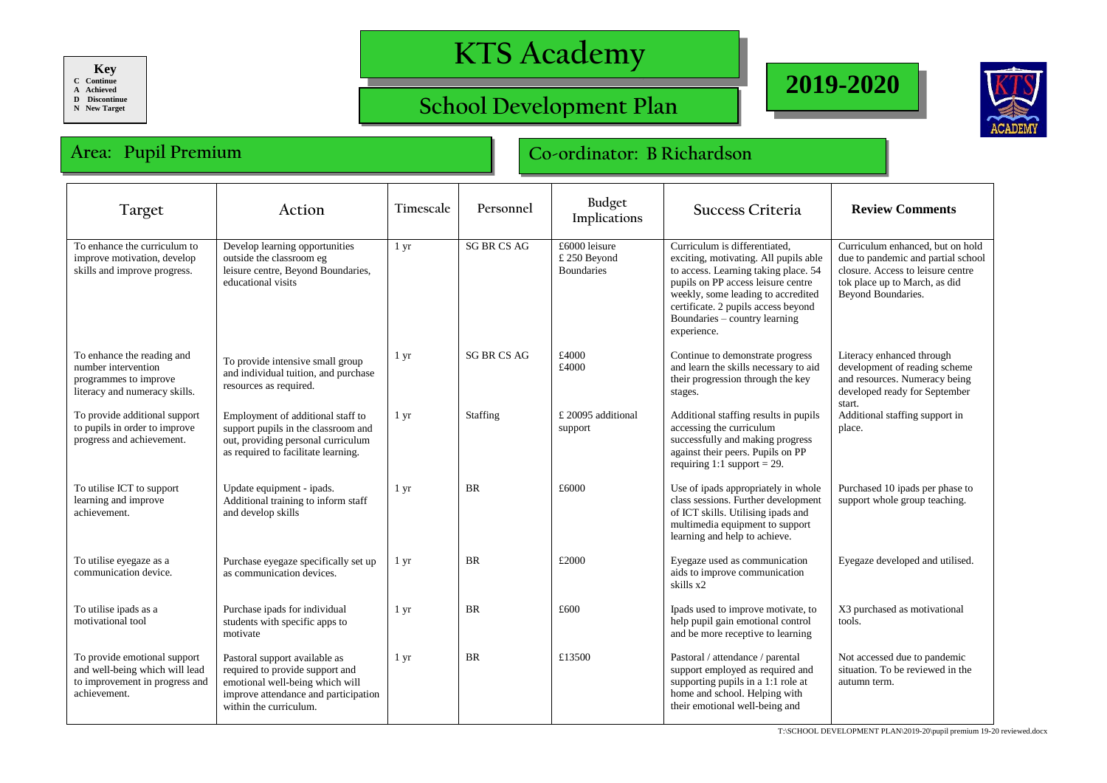**Key**

**C Continue A Achieved**

**D Discontinue**

**N New Target**

## **KTS Academy**

## **School Development Plan**





## **Area: Pupil Premium Co-ordinator: B Richardson**

| Target                                                                                                           | Action                                                                                                                                                                | Timescale        | Personnel          | Budget<br>Implications                             | Success Criteria                                                                                                                                                                                                                                                                  | <b>Review Comments</b>                                                                                                                                             |
|------------------------------------------------------------------------------------------------------------------|-----------------------------------------------------------------------------------------------------------------------------------------------------------------------|------------------|--------------------|----------------------------------------------------|-----------------------------------------------------------------------------------------------------------------------------------------------------------------------------------------------------------------------------------------------------------------------------------|--------------------------------------------------------------------------------------------------------------------------------------------------------------------|
| To enhance the curriculum to<br>improve motivation, develop<br>skills and improve progress.                      | Develop learning opportunities<br>outside the classroom eg<br>leisure centre, Beyond Boundaries,<br>educational visits                                                | 1 yr             | <b>SG BR CS AG</b> | £6000 leisure<br>£ 250 Beyond<br><b>Boundaries</b> | Curriculum is differentiated.<br>exciting, motivating. All pupils able<br>to access. Learning taking place. 54<br>pupils on PP access leisure centre<br>weekly, some leading to accredited<br>certificate. 2 pupils access beyond<br>Boundaries – country learning<br>experience. | Curriculum enhanced, but on hold<br>due to pandemic and partial school<br>closure. Access to leisure centre<br>tok place up to March, as did<br>Beyond Boundaries. |
| To enhance the reading and<br>number intervention<br>programmes to improve<br>literacy and numeracy skills.      | To provide intensive small group<br>and individual tuition, and purchase<br>resources as required.                                                                    | 1 yr             | <b>SG BR CS AG</b> | £4000<br>£4000                                     | Continue to demonstrate progress<br>and learn the skills necessary to aid<br>their progression through the key<br>stages.                                                                                                                                                         | Literacy enhanced through<br>development of reading scheme<br>and resources. Numeracy being<br>developed ready for September<br>start.                             |
| To provide additional support<br>to pupils in order to improve<br>progress and achievement.                      | Employment of additional staff to<br>support pupils in the classroom and<br>out, providing personal curriculum<br>as required to facilitate learning.                 | $1 \, \text{yr}$ | Staffing           | £ 20095 additional<br>support                      | Additional staffing results in pupils<br>accessing the curriculum<br>successfully and making progress<br>against their peers. Pupils on PP<br>requiring 1:1 support = 29.                                                                                                         | Additional staffing support in<br>place.                                                                                                                           |
| To utilise ICT to support<br>learning and improve<br>achievement.                                                | Update equipment - ipads.<br>Additional training to inform staff<br>and develop skills                                                                                | 1 yr             | <b>BR</b>          | £6000                                              | Use of ipads appropriately in whole<br>class sessions. Further development<br>of ICT skills. Utilising ipads and<br>multimedia equipment to support<br>learning and help to achieve.                                                                                              | Purchased 10 ipads per phase to<br>support whole group teaching.                                                                                                   |
| To utilise eyegaze as a<br>communication device.                                                                 | Purchase eyegaze specifically set up<br>as communication devices.                                                                                                     | $1 \, yr$        | <b>BR</b>          | £2000                                              | Eyegaze used as communication<br>aids to improve communication<br>skills x2                                                                                                                                                                                                       | Eyegaze developed and utilised.                                                                                                                                    |
| To utilise ipads as a<br>motivational tool                                                                       | Purchase ipads for individual<br>students with specific apps to<br>motivate                                                                                           | $1 \, yr$        | <b>BR</b>          | £600                                               | Ipads used to improve motivate, to<br>help pupil gain emotional control<br>and be more receptive to learning                                                                                                                                                                      | X3 purchased as motivational<br>tools.                                                                                                                             |
| To provide emotional support<br>and well-being which will lead<br>to improvement in progress and<br>achievement. | Pastoral support available as<br>required to provide support and<br>emotional well-being which will<br>improve attendance and participation<br>within the curriculum. | $1 \, yr$        | <b>BR</b>          | £13500                                             | Pastoral / attendance / parental<br>support employed as required and<br>supporting pupils in a 1:1 role at<br>home and school. Helping with<br>their emotional well-being and                                                                                                     | Not accessed due to pandemic<br>situation. To be reviewed in the<br>autumn term.                                                                                   |

T:\SCHOOL DEVELOPMENT PLAN\2019-20\pupil premium 19-20 reviewed.docx